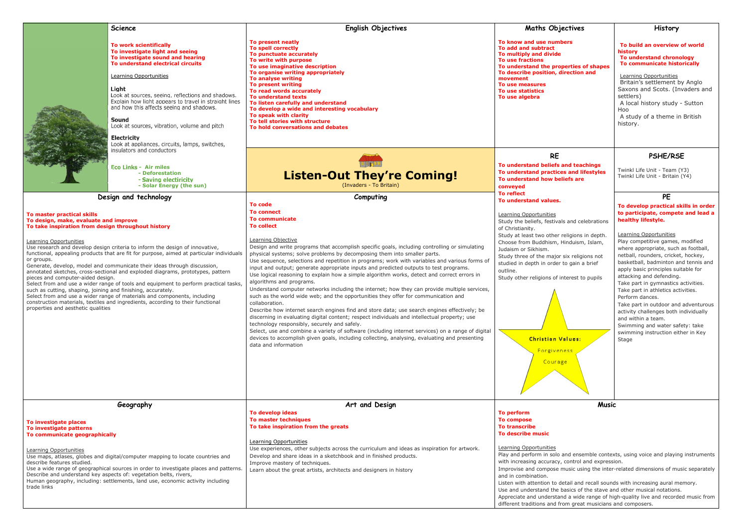|                                                                                                                                                                                                                                                                                                                                                                                                                                                                                                                                                                                                                                                                                                                                                                                                                                                                                                               | Science                                                                                                                                                                                                                                                                                                                                                                                                                                                          | English Objectives                                                                                                                                                                                                                                                                                                                                                                                                                                                                                                                                                                                                                                                                                                                                                                                                                                                                                                                                                                                                                                                                                                                                                                                                                                                            | <b>Maths Objectives</b>                                                                                                                                                                                                                                                                                                                                                                                                                                                                                                                                                                                                                                                                           | <b>History</b>                                                                                                                                                                                                                                                                                                                                                                                                                                                                                                                                                                                                                                    |
|---------------------------------------------------------------------------------------------------------------------------------------------------------------------------------------------------------------------------------------------------------------------------------------------------------------------------------------------------------------------------------------------------------------------------------------------------------------------------------------------------------------------------------------------------------------------------------------------------------------------------------------------------------------------------------------------------------------------------------------------------------------------------------------------------------------------------------------------------------------------------------------------------------------|------------------------------------------------------------------------------------------------------------------------------------------------------------------------------------------------------------------------------------------------------------------------------------------------------------------------------------------------------------------------------------------------------------------------------------------------------------------|-------------------------------------------------------------------------------------------------------------------------------------------------------------------------------------------------------------------------------------------------------------------------------------------------------------------------------------------------------------------------------------------------------------------------------------------------------------------------------------------------------------------------------------------------------------------------------------------------------------------------------------------------------------------------------------------------------------------------------------------------------------------------------------------------------------------------------------------------------------------------------------------------------------------------------------------------------------------------------------------------------------------------------------------------------------------------------------------------------------------------------------------------------------------------------------------------------------------------------------------------------------------------------|---------------------------------------------------------------------------------------------------------------------------------------------------------------------------------------------------------------------------------------------------------------------------------------------------------------------------------------------------------------------------------------------------------------------------------------------------------------------------------------------------------------------------------------------------------------------------------------------------------------------------------------------------------------------------------------------------|---------------------------------------------------------------------------------------------------------------------------------------------------------------------------------------------------------------------------------------------------------------------------------------------------------------------------------------------------------------------------------------------------------------------------------------------------------------------------------------------------------------------------------------------------------------------------------------------------------------------------------------------------|
|                                                                                                                                                                                                                                                                                                                                                                                                                                                                                                                                                                                                                                                                                                                                                                                                                                                                                                               | To work scientifically<br>To investigate light and seeing<br>To investigate sound and hearing<br>To understand electrical circuits<br>Learning Opportunities<br>Light<br>Look at sources, seeing, reflections and shadows.<br>Explain how light appears to travel in straight lines<br>and how this affects seeing and shadows.<br>Sound<br>Look at sources, vibration, volume and pitch<br><b>Electricity</b><br>Look at appliances, circuits, lamps, switches, | To present neatly<br>To spell correctly<br>To punctuate accurately<br>To write with purpose<br>To use imaginative description<br>To organise writing appropriately<br>To analyse writing<br>To present writing<br>To read words accurately<br><b>To understand texts</b><br>To listen carefully and understand<br>To develop a wide and interesting vocabulary<br>To speak with clarity<br>To tell stories with structure<br>To hold conversations and debates                                                                                                                                                                                                                                                                                                                                                                                                                                                                                                                                                                                                                                                                                                                                                                                                                | To know and use numbers<br><b>To add and subtract</b><br>To multiply and divide<br><b>To use fractions</b><br>To understand the properties of shapes<br>To describe position, direction and<br>movement<br>To use measures<br>To use statistics<br>To use algebra                                                                                                                                                                                                                                                                                                                                                                                                                                 | To build an overview of world<br>history<br>To understand chronology<br>To communicate historically<br>Learning Opportunities<br>Britain's settlement by Anglo<br>Saxons and Scots. (Invaders and<br>settlers)<br>A local history study - Sutton<br>Hoo<br>A study of a theme in British<br>history.                                                                                                                                                                                                                                                                                                                                              |
|                                                                                                                                                                                                                                                                                                                                                                                                                                                                                                                                                                                                                                                                                                                                                                                                                                                                                                               | insulators and conductors                                                                                                                                                                                                                                                                                                                                                                                                                                        |                                                                                                                                                                                                                                                                                                                                                                                                                                                                                                                                                                                                                                                                                                                                                                                                                                                                                                                                                                                                                                                                                                                                                                                                                                                                               | <b>RE</b>                                                                                                                                                                                                                                                                                                                                                                                                                                                                                                                                                                                                                                                                                         | <b>PSHE/RSE</b>                                                                                                                                                                                                                                                                                                                                                                                                                                                                                                                                                                                                                                   |
|                                                                                                                                                                                                                                                                                                                                                                                                                                                                                                                                                                                                                                                                                                                                                                                                                                                                                                               | <b>Eco Links - Air miles</b><br>- Deforestation<br>- Saving electiricity<br>- Solar Energy (the sun)                                                                                                                                                                                                                                                                                                                                                             | <b>Listen-Out They're Coming!</b><br>(Invaders - To Britain)                                                                                                                                                                                                                                                                                                                                                                                                                                                                                                                                                                                                                                                                                                                                                                                                                                                                                                                                                                                                                                                                                                                                                                                                                  | To understand beliefs and teachings<br>To understand practices and lifestyles<br>To understand how beliefs are<br>conveyed                                                                                                                                                                                                                                                                                                                                                                                                                                                                                                                                                                        | Twinkl Life Unit - Team (Y3)<br>Twinkl Life Unit - Britain (Y4)                                                                                                                                                                                                                                                                                                                                                                                                                                                                                                                                                                                   |
|                                                                                                                                                                                                                                                                                                                                                                                                                                                                                                                                                                                                                                                                                                                                                                                                                                                                                                               | Design and technology                                                                                                                                                                                                                                                                                                                                                                                                                                            | Computing<br><b>To code</b>                                                                                                                                                                                                                                                                                                                                                                                                                                                                                                                                                                                                                                                                                                                                                                                                                                                                                                                                                                                                                                                                                                                                                                                                                                                   | <b>To reflect</b><br>To understand values.                                                                                                                                                                                                                                                                                                                                                                                                                                                                                                                                                                                                                                                        | <b>PE</b>                                                                                                                                                                                                                                                                                                                                                                                                                                                                                                                                                                                                                                         |
| To master practical skills<br>To design, make, evaluate and improve<br>To take inspiration from design throughout history<br>Learning Opportunities<br>Use research and develop design criteria to inform the design of innovative,<br>functional, appealing products that are fit for purpose, aimed at particular individuals<br>or groups.<br>Generate, develop, model and communicate their ideas through discussion,<br>annotated sketches, cross-sectional and exploded diagrams, prototypes, pattern<br>pieces and computer-aided design.<br>Select from and use a wider range of tools and equipment to perform practical tasks,<br>such as cutting, shaping, joining and finishing, accurately.<br>Select from and use a wider range of materials and components, including<br>construction materials, textiles and ingredients, according to their functional<br>properties and aesthetic qualities |                                                                                                                                                                                                                                                                                                                                                                                                                                                                  | <b>To connect</b><br><b>To communicate</b><br><b>To collect</b><br>Learning Objective<br>Design and write programs that accomplish specific goals, including controlling or simulating<br>physical systems; solve problems by decomposing them into smaller parts.<br>Use sequence, selections and repetition in programs; work with variables and various forms of<br>input and output; generate appropriate inputs and predicted outputs to test programs.<br>Use logical reasoning to explain how a simple algorithm works, detect and correct errors in<br>algorithms and programs.<br>Understand computer networks including the internet; how they can provide multiple services,<br>such as the world wide web; and the opportunities they offer for communication and<br>collaboration.<br>Describe how internet search engines find and store data; use search engines effectively; be<br>discerning in evaluating digital content; respect individuals and intellectual property; use<br>technology responsibly, securely and safely.<br>Select, use and combine a variety of software (including internet services) on a range of digital<br>devices to accomplish given goals, including collecting, analysing, evaluating and presenting<br>data and information | Learning Opportunities<br>Study the beliefs, festivals and celebrations<br>of Christianity.<br>Study at least two other religions in depth.<br>Choose from Buddhism, Hinduism, Islam,<br>Judaism or Sikhism.<br>Study three of the major six religions not<br>studied in depth in order to gain a brief<br>outline.<br>Study other religions of interest to pupils<br><b>Christian Values:</b><br>Forgiveness<br>Courage                                                                                                                                                                                                                                                                          | To develop practical skills in order<br>to participate, compete and lead a<br>healthy lifestyle.<br>Learning Opportunities<br>Play competitive games, modified<br>where appropriate, such as football,<br>netball, rounders, cricket, hockey,<br>basketball, badminton and tennis and<br>apply basic principles suitable for<br>attacking and defending.<br>Take part in gymnastics activities.<br>Take part in athletics activities.<br>Perform dances.<br>Take part in outdoor and adventurous<br>activity challenges both individually<br>and within a team.<br>Swimming and water safety: take<br>swimming instruction either in Key<br>Stage |
| Geography                                                                                                                                                                                                                                                                                                                                                                                                                                                                                                                                                                                                                                                                                                                                                                                                                                                                                                     |                                                                                                                                                                                                                                                                                                                                                                                                                                                                  | Art and Design                                                                                                                                                                                                                                                                                                                                                                                                                                                                                                                                                                                                                                                                                                                                                                                                                                                                                                                                                                                                                                                                                                                                                                                                                                                                | <b>Music</b>                                                                                                                                                                                                                                                                                                                                                                                                                                                                                                                                                                                                                                                                                      |                                                                                                                                                                                                                                                                                                                                                                                                                                                                                                                                                                                                                                                   |
| To investigate places<br>To investigate patterns<br>To communicate geographically<br>Learning Opportunities<br>Use maps, atlases, globes and digital/computer mapping to locate countries and<br>describe features studied.<br>Use a wide range of geographical sources in order to investigate places and patterns.<br>Describe and understand key aspects of: vegetation belts, rivers,<br>Human geography, including: settlements, land use, economic activity including<br>trade links                                                                                                                                                                                                                                                                                                                                                                                                                    |                                                                                                                                                                                                                                                                                                                                                                                                                                                                  | To develop ideas<br>To master techniques<br>To take inspiration from the greats<br><b>Learning Opportunities</b><br>Use experiences, other subjects across the curriculum and ideas as inspiration for artwork.<br>Develop and share ideas in a sketchbook and in finished products.<br>Improve mastery of techniques.<br>Learn about the great artists, architects and designers in history                                                                                                                                                                                                                                                                                                                                                                                                                                                                                                                                                                                                                                                                                                                                                                                                                                                                                  | <b>To perform</b><br><b>To compose</b><br><b>To transcribe</b><br><b>To describe music</b><br>Learning Opportunities<br>Play and perform in solo and ensemble contexts, using voice and playing instruments<br>with increasing accuracy, control and expression.<br>Improvise and compose music using the inter-related dimensions of music separately<br>and in combination.<br>Listen with attention to detail and recall sounds with increasing aural memory.<br>Use and understand the basics of the stave and other musical notations.<br>Appreciate and understand a wide range of high-quality live and recorded music from<br>different traditions and from great musicians and composers |                                                                                                                                                                                                                                                                                                                                                                                                                                                                                                                                                                                                                                                   |

different traditions and from great musicians and composers.